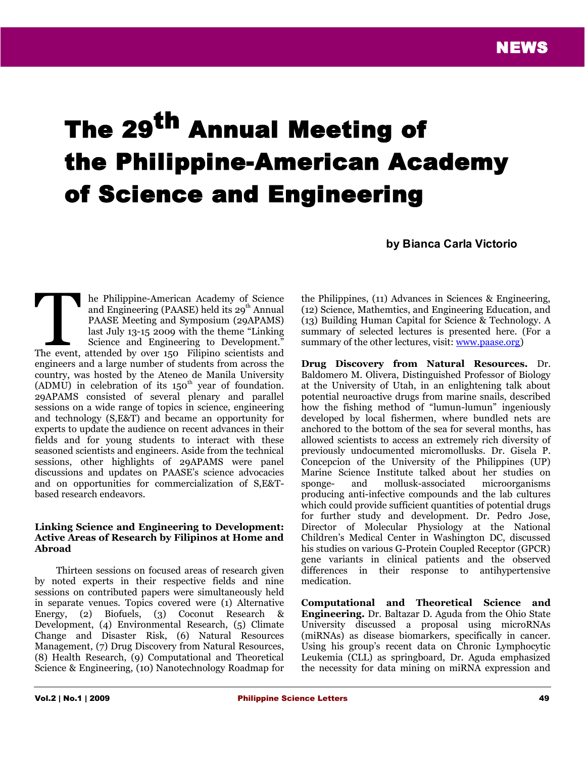# The 29<sup>th</sup> Annual Meeting of the Philippine-American Academy of Science and Engineering

**by Bianca Carla Victorio**

he Philippine-American Academy of Science and Engineering (PAASE) held its  $29<sup>th</sup>$  Annual PAASE Meeting and Symposium (29APAMS) last July 13-15 2009 with the theme "Linking Science and Engineering to Development." The Philippine-American Academy of Science<br>and Engineering (PAASE) held its 29<sup>th</sup> Annual<br>PAASE Meeting and Symposium (29APAMS)<br>last July 13-15 2009 with the theme "Linking<br>Science and Engineering to Development."<br>The even engineers and a large number of students from across the country, was hosted by the Ateneo de Manila University  $(ADMU)$  in celebration of its 150<sup>th</sup> year of foundation. 29APAMS consisted of several plenary and parallel sessions on a wide range of topics in science, engineering and technology (S,E&T) and became an opportunity for experts to update the audience on recent advances in their fields and for young students to interact with these seasoned scientists and engineers. Aside from the technical sessions, other highlights of 29APAMS were panel discussions and updates on PAASE's science advocacies and on opportunities for commercialization of S,E&Tbased research endeavors.

#### **Linking Science and Engineering to Development: Active Areas of Research by Filipinos at Home and Abroad**

Thirteen sessions on focused areas of research given by noted experts in their respective fields and nine sessions on contributed papers were simultaneously held in separate venues. Topics covered were (1) Alternative Energy, (2) Biofuels, (3) Coconut Research & Development, (4) Environmental Research, (5) Climate Change and Disaster Risk, (6) Natural Resources Management, (7) Drug Discovery from Natural Resources, (8) Health Research, (9) Computational and Theoretical Science & Engineering, (10) Nanotechnology Roadmap for

the Philippines, (11) Advances in Sciences & Engineering, (12) Science, Mathemtics, and Engineering Education, and (13) Building Human Capital for Science & Technology. A summary of selected lectures is presented here. (For a summary of the other lectures, visit: [www.paase.org\)](http://www.paase.org/)

**Drug Discovery from Natural Resources.** Dr. Baldomero M. Olivera, Distinguished Professor of Biology at the University of Utah, in an enlightening talk about potential neuroactive drugs from marine snails, described how the fishing method of "lumun-lumun" ingeniously developed by local fishermen, where bundled nets are anchored to the bottom of the sea for several months, has allowed scientists to access an extremely rich diversity of previously undocumented micromollusks. Dr. Gisela P. Concepcion of the University of the Philippines (UP) Marine Science Institute talked about her studies on sponge- and mollusk-associated microorganisms producing anti-infective compounds and the lab cultures which could provide sufficient quantities of potential drugs for further study and development. Dr. Pedro Jose, Director of Molecular Physiology at the National Children's Medical Center in Washington DC, discussed his studies on various G-Protein Coupled Receptor (GPCR) gene variants in clinical patients and the observed differences in their response to antihypertensive medication.

**Computational and Theoretical Science and Engineering.** Dr. Baltazar D. Aguda from the Ohio State University discussed a proposal using microRNAs (miRNAs) as disease biomarkers, specifically in cancer. Using his group's recent data on Chronic Lymphocytic Leukemia (CLL) as springboard, Dr. Aguda emphasized the necessity for data mining on miRNA expression and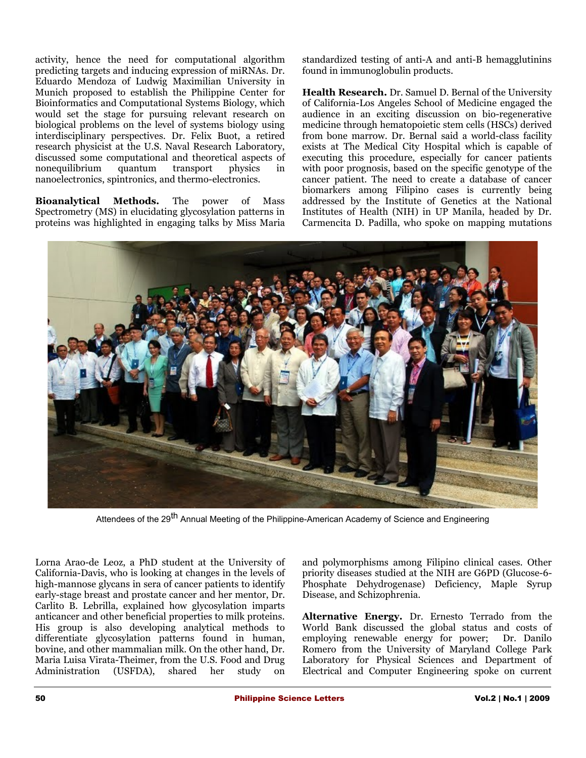activity, hence the need for computational algorithm predicting targets and inducing expression of miRNAs. Dr. Eduardo Mendoza of Ludwig Maximilian University in Munich proposed to establish the Philippine Center for Bioinformatics and Computational Systems Biology, which would set the stage for pursuing relevant research on biological problems on the level of systems biology using interdisciplinary perspectives. Dr. Felix Buot, a retired research physicist at the U.S. Naval Research Laboratory, discussed some computational and theoretical aspects of nonequilibrium quantum transport physics in nanoelectronics, spintronics, and thermo-electronics.

**Bioanalytical Methods.** The power of Mass Spectrometry (MS) in elucidating glycosylation patterns in proteins was highlighted in engaging talks by Miss Maria

standardized testing of anti-A and anti-B hemagglutinins found in immunoglobulin products.

**Health Research.** Dr. Samuel D. Bernal of the University of California-Los Angeles School of Medicine engaged the audience in an exciting discussion on bio-regenerative medicine through hematopoietic stem cells (HSCs) derived from bone marrow. Dr. Bernal said a world-class facility exists at The Medical City Hospital which is capable of executing this procedure, especially for cancer patients with poor prognosis, based on the specific genotype of the cancer patient. The need to create a database of cancer biomarkers among Filipino cases is currently being addressed by the Institute of Genetics at the National Institutes of Health (NIH) in UP Manila, headed by Dr. Carmencita D. Padilla, who spoke on mapping mutations



Attendees of the 29<sup>th</sup> Annual Meeting of the Philippine-American Academy of Science and Engineering

Lorna Arao-de Leoz, a PhD student at the University of California-Davis, who is looking at changes in the levels of high-mannose glycans in sera of cancer patients to identify early-stage breast and prostate cancer and her mentor, Dr. Carlito B. Lebrilla, explained how glycosylation imparts anticancer and other beneficial properties to milk proteins. His group is also developing analytical methods to differentiate glycosylation patterns found in human, bovine, and other mammalian milk. On the other hand, Dr. Maria Luisa Virata-Theimer, from the U.S. Food and Drug Administration (USFDA), shared her study on

and polymorphisms among Filipino clinical cases. Other priority diseases studied at the NIH are G6PD (Glucose-6- Phosphate Dehydrogenase) Deficiency, Maple Syrup Disease, and Schizophrenia.

**Alternative Energy.** Dr. Ernesto Terrado from the World Bank discussed the global status and costs of employing renewable energy for power; Dr. Danilo Romero from the University of Maryland College Park Laboratory for Physical Sciences and Department of Electrical and Computer Engineering spoke on current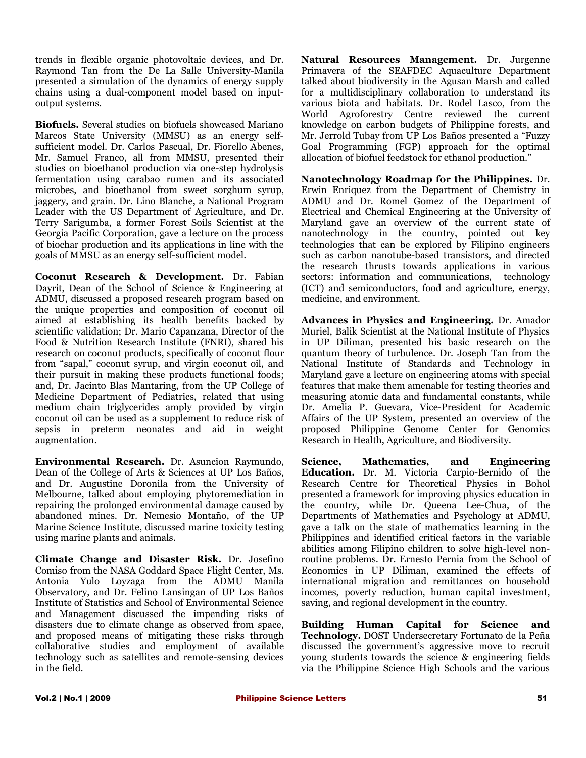trends in flexible organic photovoltaic devices, and Dr. Raymond Tan from the De La Salle University-Manila presented a simulation of the dynamics of energy supply chains using a dual-component model based on inputoutput systems.

**Biofuels.** Several studies on biofuels showcased Mariano Marcos State University (MMSU) as an energy selfsufficient model. Dr. Carlos Pascual, Dr. Fiorello Abenes, Mr. Samuel Franco, all from MMSU, presented their studies on bioethanol production via one-step hydrolysis fermentation using carabao rumen and its associated microbes, and bioethanol from sweet sorghum syrup, jaggery, and grain. Dr. Lino Blanche, a National Program Leader with the US Department of Agriculture, and Dr. Terry Sarigumba, a former Forest Soils Scientist at the Georgia Pacific Corporation, gave a lecture on the process of biochar production and its applications in line with the goals of MMSU as an energy self-sufficient model.

**Coconut Research & Development.** Dr. Fabian Dayrit, Dean of the School of Science & Engineering at ADMU, discussed a proposed research program based on the unique properties and composition of coconut oil aimed at establishing its health benefits backed by scientific validation; Dr. Mario Capanzana, Director of the Food & Nutrition Research Institute (FNRI), shared his research on coconut products, specifically of coconut flour from "sapal," coconut syrup, and virgin coconut oil, and their pursuit in making these products functional foods; and, Dr. Jacinto Blas Mantaring, from the UP College of Medicine Department of Pediatrics, related that using medium chain triglycerides amply provided by virgin coconut oil can be used as a supplement to reduce risk of sepsis in preterm neonates and aid in weight augmentation.

**Environmental Research.** Dr. Asuncion Raymundo, Dean of the College of Arts & Sciences at UP Los Baños, and Dr. Augustine Doronila from the University of Melbourne, talked about employing phytoremediation in repairing the prolonged environmental damage caused by abandoned mines. Dr. Nemesio Montaño, of the UP Marine Science Institute, discussed marine toxicity testing using marine plants and animals.

**Climate Change and Disaster Risk.** Dr. Josefino Comiso from the NASA Goddard Space Flight Center, Ms. Antonia Yulo Loyzaga from the ADMU Manila Observatory, and Dr. Felino Lansingan of UP Los Baños Institute of Statistics and School of Environmental Science and Management discussed the impending risks of disasters due to climate change as observed from space, and proposed means of mitigating these risks through collaborative studies and employment of available technology such as satellites and remote-sensing devices in the field.

**Natural Resources Management.** Dr. Jurgenne Primavera of the SEAFDEC Aquaculture Department talked about biodiversity in the Agusan Marsh and called for a multidisciplinary collaboration to understand its various biota and habitats. Dr. Rodel Lasco, from the World Agroforestry Centre reviewed the current knowledge on carbon budgets of Philippine forests, and Mr. Jerrold Tubay from UP Los Baños presented a "Fuzzy Goal Programming (FGP) approach for the optimal allocation of biofuel feedstock for ethanol production."

**Nanotechnology Roadmap for the Philippines.** Dr. Erwin Enriquez from the Department of Chemistry in ADMU and Dr. Romel Gomez of the Department of Electrical and Chemical Engineering at the University of Maryland gave an overview of the current state of nanotechnology in the country, pointed out key technologies that can be explored by Filipino engineers such as carbon nanotube-based transistors, and directed the research thrusts towards applications in various sectors: information and communications, technology (ICT) and semiconductors, food and agriculture, energy, medicine, and environment.

**Advances in Physics and Engineering.** Dr. Amador Muriel, Balik Scientist at the National Institute of Physics in UP Diliman, presented his basic research on the quantum theory of turbulence. Dr. Joseph Tan from the National Institute of Standards and Technology in Maryland gave a lecture on engineering atoms with special features that make them amenable for testing theories and measuring atomic data and fundamental constants, while Dr. Amelia P. Guevara, Vice-President for Academic Affairs of the UP System, presented an overview of the proposed Philippine Genome Center for Genomics Research in Health, Agriculture, and Biodiversity.

**Science, Mathematics, and Engineering Education.** Dr. M. Victoria Carpio-Bernido of the Research Centre for Theoretical Physics in Bohol presented a framework for improving physics education in the country, while Dr. Queena Lee-Chua, of the Departments of Mathematics and Psychology at ADMU, gave a talk on the state of mathematics learning in the Philippines and identified critical factors in the variable abilities among Filipino children to solve high-level nonroutine problems. Dr. Ernesto Pernia from the School of Economics in UP Diliman, examined the effects of international migration and remittances on household incomes, poverty reduction, human capital investment, saving, and regional development in the country.

**Building Human Capital for Science and Technology.** DOST Undersecretary Fortunato de la Peña discussed the government's aggressive move to recruit young students towards the science & engineering fields via the Philippine Science High Schools and the various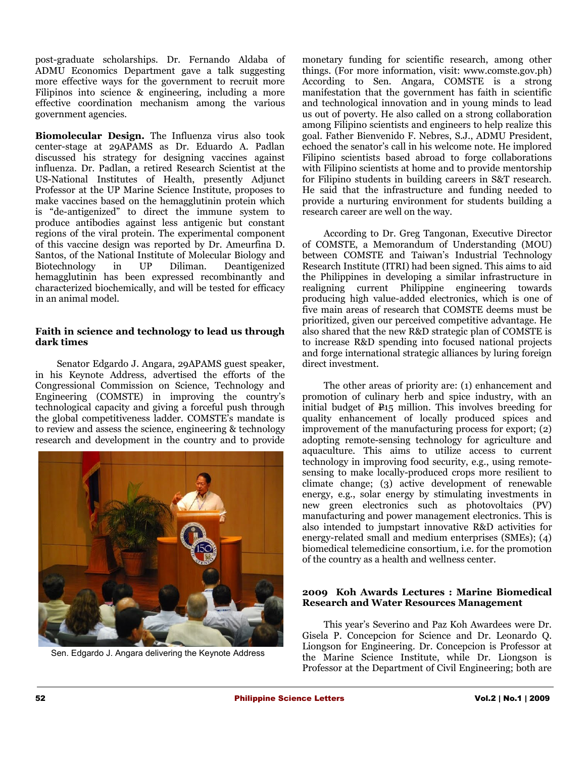post-graduate scholarships. Dr. Fernando Aldaba of ADMU Economics Department gave a talk suggesting more effective ways for the government to recruit more Filipinos into science & engineering, including a more effective coordination mechanism among the various government agencies.

**Biomolecular Design***.* The Influenza virus also took center-stage at 29APAMS as Dr. Eduardo A. Padlan discussed his strategy for designing vaccines against influenza. Dr. Padlan, a retired Research Scientist at the US-National Institutes of Health, presently Adjunct Professor at the UP Marine Science Institute, proposes to make vaccines based on the hemagglutinin protein which is "de-antigenized" to direct the immune system to produce antibodies against less antigenic but constant regions of the viral protein. The experimental component of this vaccine design was reported by Dr. Ameurfina D. Santos, of the National Institute of Molecular Biology and Biotechnology in UP Diliman. Deantigenized hemagglutinin has been expressed recombinantly and characterized biochemically, and will be tested for efficacy in an animal model.

### **Faith in science and technology to lead us through dark times**

Senator Edgardo J. Angara, 29APAMS guest speaker, in his Keynote Address, advertised the efforts of the Congressional Commission on Science, Technology and Engineering (COMSTE) in improving the country's technological capacity and giving a forceful push through the global competitiveness ladder. COMSTE's mandate is to review and assess the science, engineering & technology research and development in the country and to provide



Sen. Edgardo J. Angara delivering the Keynote Address

monetary funding for scientific research, among other things. (For more information, visit: www.comste.gov.ph) According to Sen. Angara, COMSTE is a strong manifestation that the government has faith in scientific and technological innovation and in young minds to lead us out of poverty. He also called on a strong collaboration among Filipino scientists and engineers to help realize this goal. Father Bienvenido F. Nebres, S.J., ADMU President, echoed the senator's call in his welcome note. He implored Filipino scientists based abroad to forge collaborations with Filipino scientists at home and to provide mentorship for Filipino students in building careers in S&T research. He said that the infrastructure and funding needed to provide a nurturing environment for students building a research career are well on the way.

According to Dr. Greg Tangonan, Executive Director of COMSTE, a Memorandum of Understanding (MOU) between COMSTE and Taiwan's Industrial Technology Research Institute (ITRI) had been signed. This aims to aid the Philippines in developing a similar infrastructure in realigning current Philippine engineering towards producing high value-added electronics, which is one of five main areas of research that COMSTE deems must be prioritized, given our perceived competitive advantage. He also shared that the new R&D strategic plan of COMSTE is to increase R&D spending into focused national projects and forge international strategic alliances by luring foreign direct investment.

The other areas of priority are: (1) enhancement and promotion of culinary herb and spice industry, with an initial budget of  $\mathbb{P}15$  million. This involves breeding for quality enhancement of locally produced spices and improvement of the manufacturing process for export; (2) adopting remote-sensing technology for agriculture and aquaculture. This aims to utilize access to current technology in improving food security, e.g., using remotesensing to make locally-produced crops more resilient to climate change; (3) active development of renewable energy, e.g., solar energy by stimulating investments in new green electronics such as photovoltaics (PV) manufacturing and power management electronics. This is also intended to jumpstart innovative R&D activities for energy-related small and medium enterprises (SMEs); (4) biomedical telemedicine consortium, i.e. for the promotion of the country as a health and wellness center.

## **2009 Koh Awards Lectures : Marine Biomedical Research and Water Resources Management**

This year's Severino and Paz Koh Awardees were Dr. Gisela P. Concepcion for Science and Dr. Leonardo Q. Liongson for Engineering. Dr. Concepcion is Professor at the Marine Science Institute, while Dr. Liongson is Professor at the Department of Civil Engineering; both are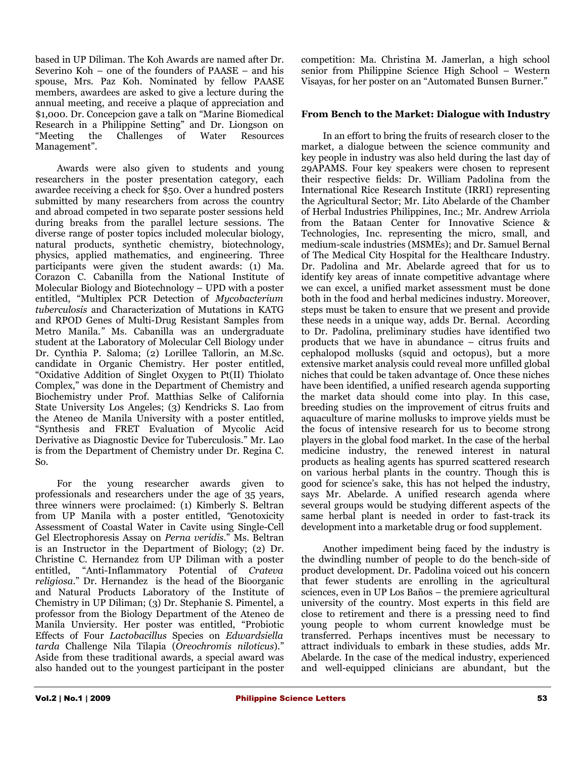based in UP Diliman. The Koh Awards are named after Dr. Severino Koh – one of the founders of PAASE – and his spouse, Mrs. Paz Koh. Nominated by fellow PAASE members, awardees are asked to give a lecture during the annual meeting, and receive a plaque of appreciation and \$1,000. Dr. Concepcion gave a talk on "Marine Biomedical Research in a Philippine Setting" and Dr. Liongson on "Meeting the Challenges of Water Resources Management".

Awards were also given to students and young researchers in the poster presentation category, each awardee receiving a check for \$50. Over a hundred posters submitted by many researchers from across the country and abroad competed in two separate poster sessions held during breaks from the parallel lecture sessions. The diverse range of poster topics included molecular biology, natural products, synthetic chemistry, biotechnology, physics, applied mathematics, and engineering. Three participants were given the student awards: (1) Ma. Corazon C. Cabanilla from the National Institute of Molecular Biology and Biotechnology – UPD with a poster entitled, "Multiplex PCR Detection of *Mycobacterium tuberculosis* and Characterization of Mutations in KATG and RPOD Genes of Multi-Drug Resistant Samples from Metro Manila.*"* Ms. Cabanilla was an undergraduate student at the Laboratory of Molecular Cell Biology under Dr. Cynthia P. Saloma; (2) Lorillee Tallorin, an M.Sc. candidate in Organic Chemistry. Her poster entitled, "Oxidative Addition of Singlet Oxygen to Pt(II) Thiolato Complex," was done in the Department of Chemistry and Biochemistry under Prof. Matthias Selke of California State University Los Angeles; (3) Kendricks S. Lao from the Ateneo de Manila University with a poster entitled, "Synthesis and FRET Evaluation of Mycolic Acid Derivative as Diagnostic Device for Tuberculosis." Mr. Lao is from the Department of Chemistry under Dr. Regina C. So.

For the young researcher awards given to professionals and researchers under the age of 35 years, three winners were proclaimed: (1) Kimberly S. Beltran from UP Manila with a poster entitled, *"*Genotoxicity Assessment of Coastal Water in Cavite using Single-Cell Gel Electrophoresis Assay on *Perna veridis*." Ms. Beltran is an Instructor in the Department of Biology; (2) Dr. Christine C. Hernandez from UP Diliman with a poster entitled, "Anti-Inflammatory Potential of *Crateva religiosa*." Dr. Hernandez is the head of the Bioorganic and Natural Products Laboratory of the Institute of Chemistry in UP Diliman; (3) Dr. Stephanie S. Pimentel, a professor from the Biology Department of the Ateneo de Manila Unviersity. Her poster was entitled, "Probiotic Effects of Four *Lactobacillus* Species on *Edwardsiella tarda* Challenge Nila Tilapia (*Oreochromis niloticus*)." Aside from these traditional awards, a special award was also handed out to the youngest participant in the poster

competition: Ma. Christina M. Jamerlan, a high school senior from Philippine Science High School – Western Visayas, for her poster on an "Automated Bunsen Burner."

## **From Bench to the Market: Dialogue with Industry**

In an effort to bring the fruits of research closer to the market, a dialogue between the science community and key people in industry was also held during the last day of 29APAMS. Four key speakers were chosen to represent their respective fields: Dr. William Padolina from the International Rice Research Institute (IRRI) representing the Agricultural Sector; Mr. Lito Abelarde of the Chamber of Herbal Industries Philippines, Inc.; Mr. Andrew Arriola from the Bataan Center for Innovative Science & Technologies, Inc. representing the micro, small, and medium-scale industries (MSMEs); and Dr. Samuel Bernal of The Medical City Hospital for the Healthcare Industry. Dr. Padolina and Mr. Abelarde agreed that for us to identify key areas of innate competitive advantage where we can excel, a unified market assessment must be done both in the food and herbal medicines industry. Moreover, steps must be taken to ensure that we present and provide these needs in a unique way, adds Dr. Bernal. According to Dr. Padolina, preliminary studies have identified two products that we have in abundance – citrus fruits and cephalopod mollusks (squid and octopus), but a more extensive market analysis could reveal more unfilled global niches that could be taken advantage of. Once these niches have been identified, a unified research agenda supporting the market data should come into play. In this case, breeding studies on the improvement of citrus fruits and aquaculture of marine mollusks to improve yields must be the focus of intensive research for us to become strong players in the global food market. In the case of the herbal medicine industry, the renewed interest in natural products as healing agents has spurred scattered research on various herbal plants in the country. Though this is good for science's sake, this has not helped the industry, says Mr. Abelarde. A unified research agenda where several groups would be studying different aspects of the same herbal plant is needed in order to fast-track its development into a marketable drug or food supplement.

Another impediment being faced by the industry is the dwindling number of people to do the bench-side of product development. Dr. Padolina voiced out his concern that fewer students are enrolling in the agricultural sciences, even in UP Los Baños – the premiere agricultural university of the country. Most experts in this field are close to retirement and there is a pressing need to find young people to whom current knowledge must be transferred. Perhaps incentives must be necessary to attract individuals to embark in these studies, adds Mr. Abelarde. In the case of the medical industry, experienced and well-equipped clinicians are abundant, but the